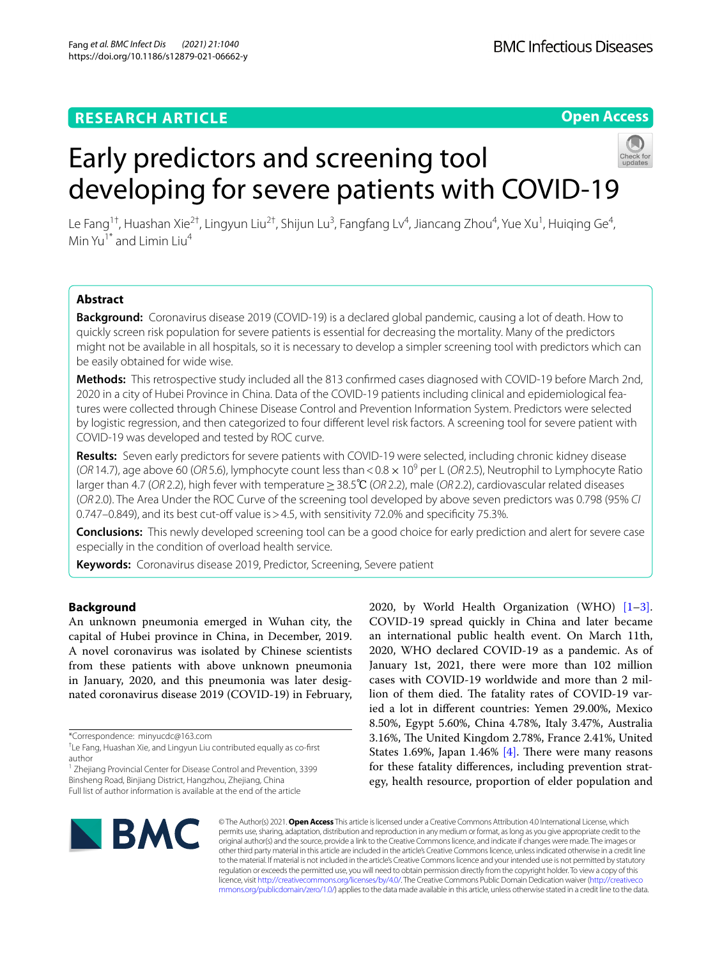## **RESEARCH ARTICLE**

**Open Access**

# Early predictors and screening tool developing for severe patients with COVID-19



Le Fang<sup>1†</sup>, Huashan Xie<sup>2†</sup>, Lingyun Liu<sup>2†</sup>, Shijun Lu<sup>3</sup>, Fangfang Lv<sup>4</sup>, Jiancang Zhou<sup>4</sup>, Yue Xu<sup>1</sup>, Huiqing Ge<sup>4</sup>, Min  $Yu^{1*}$  and Limin Liu<sup>4</sup>

## **Abstract**

**Background:** Coronavirus disease 2019 (COVID-19) is a declared global pandemic, causing a lot of death. How to quickly screen risk population for severe patients is essential for decreasing the mortality. Many of the predictors might not be available in all hospitals, so it is necessary to develop a simpler screening tool with predictors which can be easily obtained for wide wise.

**Methods:** This retrospective study included all the 813 confrmed cases diagnosed with COVID-19 before March 2nd, 2020 in a city of Hubei Province in China. Data of the COVID-19 patients including clinical and epidemiological features were collected through Chinese Disease Control and Prevention Information System. Predictors were selected by logistic regression, and then categorized to four diferent level risk factors. A screening tool for severe patient with COVID-19 was developed and tested by ROC curve.

**Results:** Seven early predictors for severe patients with COVID-19 were selected, including chronic kidney disease (*OR* 14.7), age above 60 (*OR* 5.6), lymphocyte count less than < 0.8 × 10<sup>9</sup> per L (*OR* 2.5), Neutrophil to Lymphocyte Ratio larger than 4.7 (*OR* 2.2), high fever with temperature≥38.5℃ (*OR* 2.2), male (*OR* 2.2), cardiovascular related diseases (*OR* 2.0). The Area Under the ROC Curve of the screening tool developed by above seven predictors was 0.798 (95% *CI* 0.747–0.849), and its best cut-off value is > 4.5, with sensitivity 72.0% and specificity 75.3%.

**Conclusions:** This newly developed screening tool can be a good choice for early prediction and alert for severe case especially in the condition of overload health service.

**Keywords:** Coronavirus disease 2019, Predictor, Screening, Severe patient

## **Background**

An unknown pneumonia emerged in Wuhan city, the capital of Hubei province in China, in December, 2019. A novel coronavirus was isolated by Chinese scientists from these patients with above unknown pneumonia in January, 2020, and this pneumonia was later designated coronavirus disease 2019 (COVID-19) in February,

\*Correspondence: minyucdc@163.com

<sup>1</sup> Zhejiang Provincial Center for Disease Control and Prevention, 3399 Binsheng Road, Binjiang District, Hangzhou, Zhejiang, China Full list of author information is available at the end of the article

2020, by World Health Organization (WHO) [\[1](#page-7-0)[–3\]](#page-7-1). COVID-19 spread quickly in China and later became an international public health event. On March 11th, 2020, WHO declared COVID-19 as a pandemic. As of January 1st, 2021, there were more than 102 million cases with COVID-19 worldwide and more than 2 million of them died. The fatality rates of COVID-19 varied a lot in diferent countries: Yemen 29.00%, Mexico 8.50%, Egypt 5.60%, China 4.78%, Italy 3.47%, Australia 3.16%, The United Kingdom 2.78%, France 2.41%, United States 1.69%, Japan 1.46%  $[4]$ . There were many reasons for these fatality diferences, including prevention strategy, health resource, proportion of elder population and



© The Author(s) 2021. **Open Access** This article is licensed under a Creative Commons Attribution 4.0 International License, which permits use, sharing, adaptation, distribution and reproduction in any medium or format, as long as you give appropriate credit to the original author(s) and the source, provide a link to the Creative Commons licence, and indicate if changes were made. The images or other third party material in this article are included in the article's Creative Commons licence, unless indicated otherwise in a credit line to the material. If material is not included in the article's Creative Commons licence and your intended use is not permitted by statutory regulation or exceeds the permitted use, you will need to obtain permission directly from the copyright holder. To view a copy of this licence, visit [http://creativecommons.org/licenses/by/4.0/.](http://creativecommons.org/licenses/by/4.0/) The Creative Commons Public Domain Dedication waiver ([http://creativeco](http://creativecommons.org/publicdomain/zero/1.0/) [mmons.org/publicdomain/zero/1.0/](http://creativecommons.org/publicdomain/zero/1.0/)) applies to the data made available in this article, unless otherwise stated in a credit line to the data.

<sup>†</sup> Le Fang, Huashan Xie, and Lingyun Liu contributed equally as co-frst author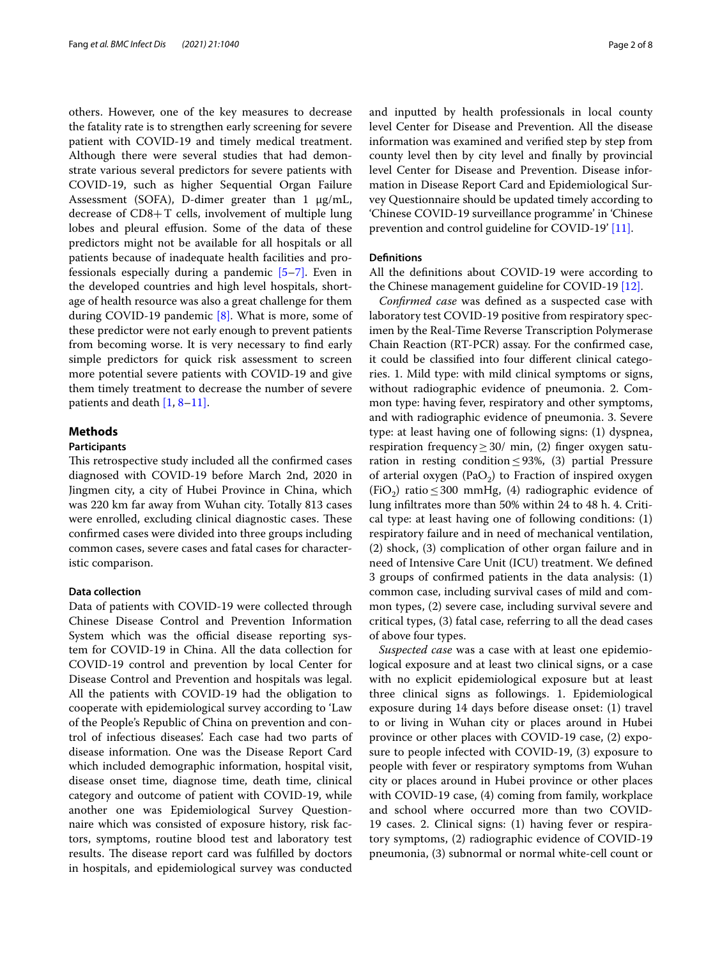others. However, one of the key measures to decrease the fatality rate is to strengthen early screening for severe patient with COVID-19 and timely medical treatment. Although there were several studies that had demonstrate various several predictors for severe patients with COVID-19, such as higher Sequential Organ Failure Assessment (SOFA), D-dimer greater than 1 μg/mL, decrease of CD8+T cells, involvement of multiple lung lobes and pleural effusion. Some of the data of these predictors might not be available for all hospitals or all patients because of inadequate health facilities and professionals especially during a pandemic  $[5-7]$  $[5-7]$ . Even in the developed countries and high level hospitals, shortage of health resource was also a great challenge for them during COVID-19 pandemic  $[8]$ . What is more, some of these predictor were not early enough to prevent patients from becoming worse. It is very necessary to fnd early simple predictors for quick risk assessment to screen more potential severe patients with COVID-19 and give them timely treatment to decrease the number of severe patients and death [\[1](#page-7-0), [8–](#page-7-0)[11\].](#page-7-6)

## **Methods**

## **Participants**

This retrospective study included all the confirmed cases diagnosed with COVID-19 before March 2nd, 2020 in Jingmen city, a city of Hubei Province in China, which was 220 km far away from Wuhan city. Totally 813 cases were enrolled, excluding clinical diagnostic cases. These confrmed cases were divided into three groups including common cases, severe cases and fatal cases for characteristic comparison.

## **Data collection**

Data of patients with COVID-19 were collected through Chinese Disease Control and Prevention Information System which was the official disease reporting system for COVID-19 in China. All the data collection for COVID-19 control and prevention by local Center for Disease Control and Prevention and hospitals was legal. All the patients with COVID-19 had the obligation to cooperate with epidemiological survey according to 'Law of the People's Republic of China on prevention and control of infectious diseases'. Each case had two parts of disease information. One was the Disease Report Card which included demographic information, hospital visit, disease onset time, diagnose time, death time, clinical category and outcome of patient with COVID-19, while another one was Epidemiological Survey Questionnaire which was consisted of exposure history, risk factors, symptoms, routine blood test and laboratory test results. The disease report card was fulfilled by doctors in hospitals, and epidemiological survey was conducted and inputted by health professionals in local county level Center for Disease and Prevention. All the disease information was examined and verifed step by step from county level then by city level and fnally by provincial level Center for Disease and Prevention. Disease information in Disease Report Card and Epidemiological Survey Questionnaire should be updated timely according to 'Chinese COVID-19 surveillance programme' in 'Chinese prevention and control guideline for COVID-19' [\[11\].](#page-7-6)

## **Defnitions**

All the defnitions about COVID-19 were according to the Chinese management guideline for COVID-19 [\[12\].](#page-7-7)

*Confrmed case* was defned as a suspected case with laboratory test COVID-19 positive from respiratory specimen by the Real-Time Reverse Transcription Polymerase Chain Reaction (RT-PCR) assay. For the confrmed case, it could be classifed into four diferent clinical categories. 1. Mild type: with mild clinical symptoms or signs, without radiographic evidence of pneumonia. 2. Common type: having fever, respiratory and other symptoms, and with radiographic evidence of pneumonia. 3. Severe type: at least having one of following signs: (1) dyspnea, respiration frequency≥30/ min, (2) fnger oxygen saturation in resting condition  $\leq$ 93%, (3) partial Pressure of arterial oxygen (PaO<sub>2</sub>) to Fraction of inspired oxygen (FiO<sub>2</sub>) ratio  $\leq$  300 mmHg, (4) radiographic evidence of lung infltrates more than 50% within 24 to 48 h. 4. Critical type: at least having one of following conditions: (1) respiratory failure and in need of mechanical ventilation, (2) shock, (3) complication of other organ failure and in need of Intensive Care Unit (ICU) treatment. We defned 3 groups of confrmed patients in the data analysis: (1) common case, including survival cases of mild and common types, (2) severe case, including survival severe and critical types, (3) fatal case, referring to all the dead cases of above four types.

*Suspected case* was a case with at least one epidemiological exposure and at least two clinical signs, or a case with no explicit epidemiological exposure but at least three clinical signs as followings. 1. Epidemiological exposure during 14 days before disease onset: (1) travel to or living in Wuhan city or places around in Hubei province or other places with COVID-19 case, (2) exposure to people infected with COVID-19, (3) exposure to people with fever or respiratory symptoms from Wuhan city or places around in Hubei province or other places with COVID-19 case, (4) coming from family, workplace and school where occurred more than two COVID-19 cases. 2. Clinical signs: (1) having fever or respiratory symptoms, (2) radiographic evidence of COVID-19 pneumonia, (3) subnormal or normal white-cell count or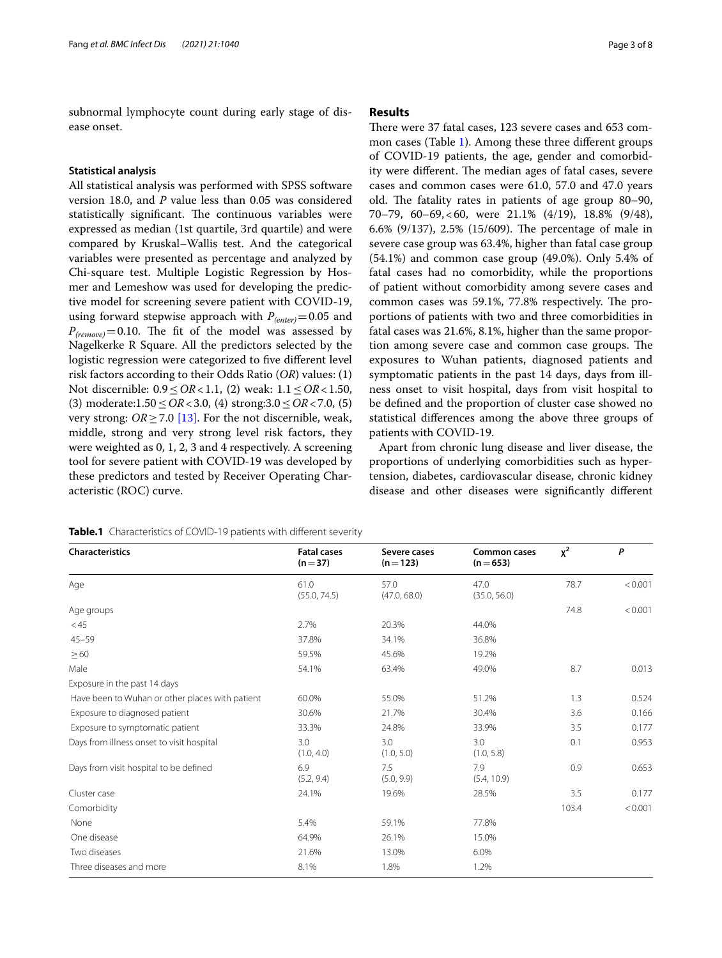subnormal lymphocyte count during early stage of disease onset.

## **Statistical analysis**

All statistical analysis was performed with SPSS software version 18.0, and *P* value less than 0.05 was considered statistically significant. The continuous variables were expressed as median (1st quartile, 3rd quartile) and were compared by Kruskal–Wallis test. And the categorical variables were presented as percentage and analyzed by Chi-square test. Multiple Logistic Regression by Hosmer and Lemeshow was used for developing the predictive model for screening severe patient with COVID-19, using forward stepwise approach with  $P_{(enter)} = 0.05$  and  $P_{(remove)} = 0.10$ . The fit of the model was assessed by Nagelkerke R Square. All the predictors selected by the logistic regression were categorized to five different level risk factors according to their Odds Ratio (*OR*) values: (1) Not discernible: 0.9≤*OR*<1.1, (2) weak: 1.1≤*OR*<1.50, (3) moderate:1.50≤*OR*<3.0, (4) strong:3.0≤*OR*<7.0, (5) very strong:  $OR \geq 7.0$  [\[13\].](#page-7-8) For the not discernible, weak, middle, strong and very strong level risk factors, they were weighted as 0, 1, 2, 3 and 4 respectively. A screening tool for severe patient with COVID-19 was developed by these predictors and tested by Receiver Operating Characteristic (ROC) curve.

## **Results**

There were 37 fatal cases, 123 severe cases and 653 common cases (Table [1](#page-2-0)). Among these three diferent groups of COVID-19 patients, the age, gender and comorbidity were different. The median ages of fatal cases, severe cases and common cases were 61.0, 57.0 and 47.0 years old. The fatality rates in patients of age group  $80-90$ , 70–79, 60–69,<60, were 21.1% (4/19), 18.8% (9/48), 6.6% (9/137), 2.5% (15/609). The percentage of male in severe case group was 63.4%, higher than fatal case group (54.1%) and common case group (49.0%). Only 5.4% of fatal cases had no comorbidity, while the proportions of patient without comorbidity among severe cases and common cases was 59.1%, 77.8% respectively. The proportions of patients with two and three comorbidities in fatal cases was 21.6%, 8.1%, higher than the same proportion among severe case and common case groups. The exposures to Wuhan patients, diagnosed patients and symptomatic patients in the past 14 days, days from illness onset to visit hospital, days from visit hospital to be defned and the proportion of cluster case showed no statistical diferences among the above three groups of patients with COVID-19.

Apart from chronic lung disease and liver disease, the proportions of underlying comorbidities such as hypertension, diabetes, cardiovascular disease, chronic kidney disease and other diseases were signifcantly diferent

<span id="page-2-0"></span>

| Table.1 Characteristics of COVID-19 patients with different severity |
|----------------------------------------------------------------------|
|----------------------------------------------------------------------|

| <b>Characteristics</b>                          | <b>Fatal cases</b><br>$(n=37)$ | Severe cases<br>$(n=123)$ | <b>Common cases</b><br>$(n=653)$ | $x^2$ | P       |
|-------------------------------------------------|--------------------------------|---------------------------|----------------------------------|-------|---------|
| Age                                             | 61.0<br>(55.0, 74.5)           | 57.0<br>(47.0, 68.0)      | 47.0<br>(35.0, 56.0)             | 78.7  | < 0.001 |
| Age groups                                      |                                |                           |                                  | 74.8  | < 0.001 |
| $<$ 45                                          | 2.7%                           | 20.3%                     | 44.0%                            |       |         |
| $45 - 59$                                       | 37.8%                          | 34.1%                     | 36.8%                            |       |         |
| $\geq 60$                                       | 59.5%                          | 45.6%                     | 19.2%                            |       |         |
| Male                                            | 54.1%                          | 63.4%                     | 49.0%                            | 8.7   | 0.013   |
| Exposure in the past 14 days                    |                                |                           |                                  |       |         |
| Have been to Wuhan or other places with patient | 60.0%                          | 55.0%                     | 51.2%                            | 1.3   | 0.524   |
| Exposure to diagnosed patient                   | 30.6%                          | 21.7%                     | 30.4%                            | 3.6   | 0.166   |
| Exposure to symptomatic patient                 | 33.3%                          | 24.8%                     | 33.9%                            | 3.5   | 0.177   |
| Days from illness onset to visit hospital       | 3.0<br>(1.0, 4.0)              | 3.0<br>(1.0, 5.0)         | 3.0<br>(1.0, 5.8)                | 0.1   | 0.953   |
| Days from visit hospital to be defined          | 6.9<br>(5.2, 9.4)              | 7.5<br>(5.0, 9.9)         | 7.9<br>(5.4, 10.9)               | 0.9   | 0.653   |
| Cluster case                                    | 24.1%                          | 19.6%                     | 28.5%                            | 3.5   | 0.177   |
| Comorbidity                                     |                                |                           |                                  | 103.4 | < 0.001 |
| None                                            | 5.4%                           | 59.1%                     | 77.8%                            |       |         |
| One disease                                     | 64.9%                          | 26.1%                     | 15.0%                            |       |         |
| Two diseases                                    | 21.6%                          | 13.0%                     | 6.0%                             |       |         |
| Three diseases and more                         | 8.1%                           | 1.8%                      | 1.2%                             |       |         |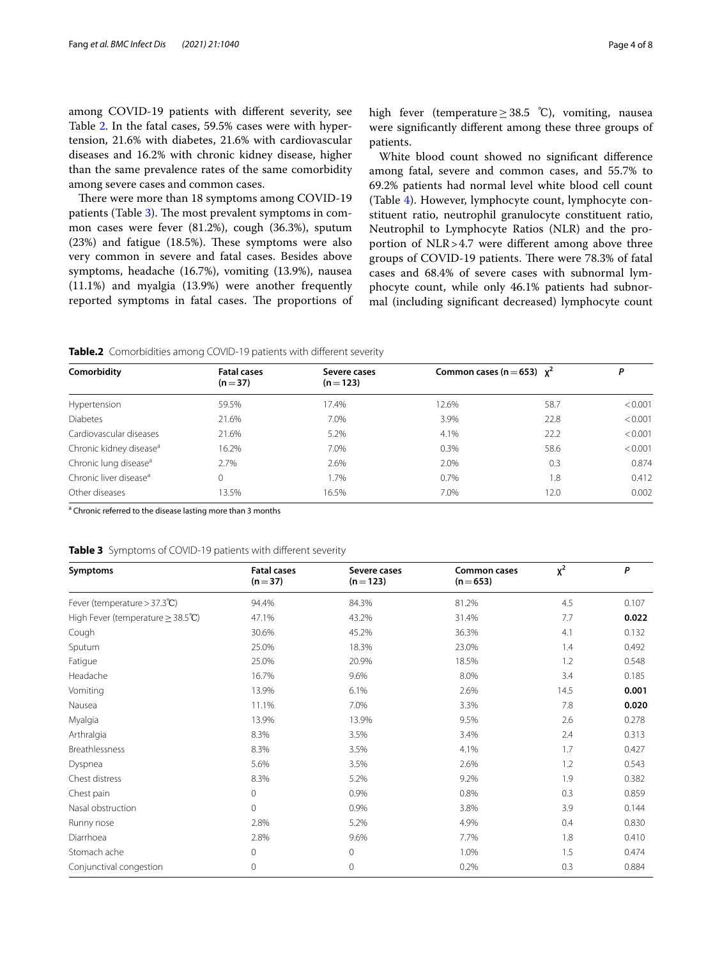among COVID-19 patients with diferent severity, see Table [2.](#page-3-0) In the fatal cases, 59.5% cases were with hypertension, 21.6% with diabetes, 21.6% with cardiovascular diseases and 16.2% with chronic kidney disease, higher than the same prevalence rates of the same comorbidity among severe cases and common cases.

There were more than 18 symptoms among COVID-19 patients (Table [3\)](#page-3-1). The most prevalent symptoms in common cases were fever (81.2%), cough (36.3%), sputum  $(23%)$  and fatigue  $(18.5%)$ . These symptoms were also very common in severe and fatal cases. Besides above symptoms, headache (16.7%), vomiting (13.9%), nausea (11.1%) and myalgia (13.9%) were another frequently reported symptoms in fatal cases. The proportions of high fever (temperature≥38.5 ℃), vomiting, nausea were signifcantly diferent among these three groups of patients.

White blood count showed no signifcant diference among fatal, severe and common cases, and 55.7% to 69.2% patients had normal level white blood cell count (Table [4](#page-4-0)). However, lymphocyte count, lymphocyte constituent ratio, neutrophil granulocyte constituent ratio, Neutrophil to Lymphocyte Ratios (NLR) and the proportion of NLR>4.7 were diferent among above three groups of COVID-19 patients. There were 78.3% of fatal cases and 68.4% of severe cases with subnormal lymphocyte count, while only 46.1% patients had subnormal (including signifcant decreased) lymphocyte count

#### <span id="page-3-0"></span>**Table.2** Comorbidities among COVID-19 patients with different severity

|                                     |                                |                           |                                 |      | Р       |
|-------------------------------------|--------------------------------|---------------------------|---------------------------------|------|---------|
| Comorbidity                         | <b>Fatal cases</b><br>$(n=37)$ | Severe cases<br>$(n=123)$ | Common cases (n = 653) $\chi^2$ |      |         |
| Hypertension                        | 59.5%                          | 17.4%                     | 12.6%                           | 58.7 | < 0.001 |
| <b>Diabetes</b>                     | 21.6%                          | 7.0%                      | 3.9%                            | 22.8 | < 0.001 |
| Cardiovascular diseases             | 21.6%                          | 5.2%                      | 4.1%                            | 22.2 | < 0.001 |
| Chronic kidney disease <sup>a</sup> | 16.2%                          | 7.0%                      | 0.3%                            | 58.6 | < 0.001 |
| Chronic lung disease <sup>a</sup>   | 2.7%                           | 2.6%                      | 2.0%                            | 0.3  | 0.874   |
| Chronic liver disease <sup>a</sup>  | $\Omega$                       | 1.7%                      | 0.7%                            | 1.8  | 0.412   |
| Other diseases                      | 13.5%                          | 16.5%                     | 7.0%                            | 12.0 | 0.002   |

<sup>a</sup> Chronic referred to the disease lasting more than 3 months

## <span id="page-3-1"></span>**Table 3** Symptoms of COVID-19 patients with diferent severity

| Symptoms                               | <b>Fatal cases</b><br>$(n=37)$ | Severe cases<br>$(n=123)$ | <b>Common cases</b><br>$(n=653)$ | $x^2$ | P     |
|----------------------------------------|--------------------------------|---------------------------|----------------------------------|-------|-------|
| Fever (temperature $> 37.3^{\circ}C$ ) | 94.4%                          | 84.3%                     | 81.2%                            | 4.5   | 0.107 |
| High Fever (temperature $\geq$ 38.5°C) | 47.1%                          | 43.2%                     | 31.4%                            | 7.7   | 0.022 |
| Cough                                  | 30.6%                          | 45.2%                     | 36.3%                            | 4.1   | 0.132 |
| Sputum                                 | 25.0%                          | 18.3%                     | 23.0%                            | 1.4   | 0.492 |
| Fatigue                                | 25.0%                          | 20.9%                     | 18.5%                            | 1.2   | 0.548 |
| Headache                               | 16.7%                          | 9.6%                      | 8.0%                             | 3.4   | 0.185 |
| Vomiting                               | 13.9%                          | 6.1%                      | 2.6%                             | 14.5  | 0.001 |
| Nausea                                 | 11.1%                          | 7.0%                      | 3.3%                             | 7.8   | 0.020 |
| Myalgia                                | 13.9%                          | 13.9%                     | 9.5%                             | 2.6   | 0.278 |
| Arthralgia                             | 8.3%                           | 3.5%                      | 3.4%                             | 2.4   | 0.313 |
| Breathlessness                         | 8.3%                           | 3.5%                      | 4.1%                             | 1.7   | 0.427 |
| Dyspnea                                | 5.6%                           | 3.5%                      | 2.6%                             | 1.2   | 0.543 |
| Chest distress                         | 8.3%                           | 5.2%                      | 9.2%                             | 1.9   | 0.382 |
| Chest pain                             | $\mathbf 0$                    | 0.9%                      | 0.8%                             | 0.3   | 0.859 |
| Nasal obstruction                      | $\Omega$                       | 0.9%                      | 3.8%                             | 3.9   | 0.144 |
| Runny nose                             | 2.8%                           | 5.2%                      | 4.9%                             | 0.4   | 0.830 |
| Diarrhoea                              | 2.8%                           | 9.6%                      | 7.7%                             | 1.8   | 0.410 |
| Stomach ache                           | $\Omega$                       | $\mathbf 0$               | 1.0%                             | 1.5   | 0.474 |
| Conjunctival congestion                | $\Omega$                       | $\mathbf{0}$              | 0.2%                             | 0.3   | 0.884 |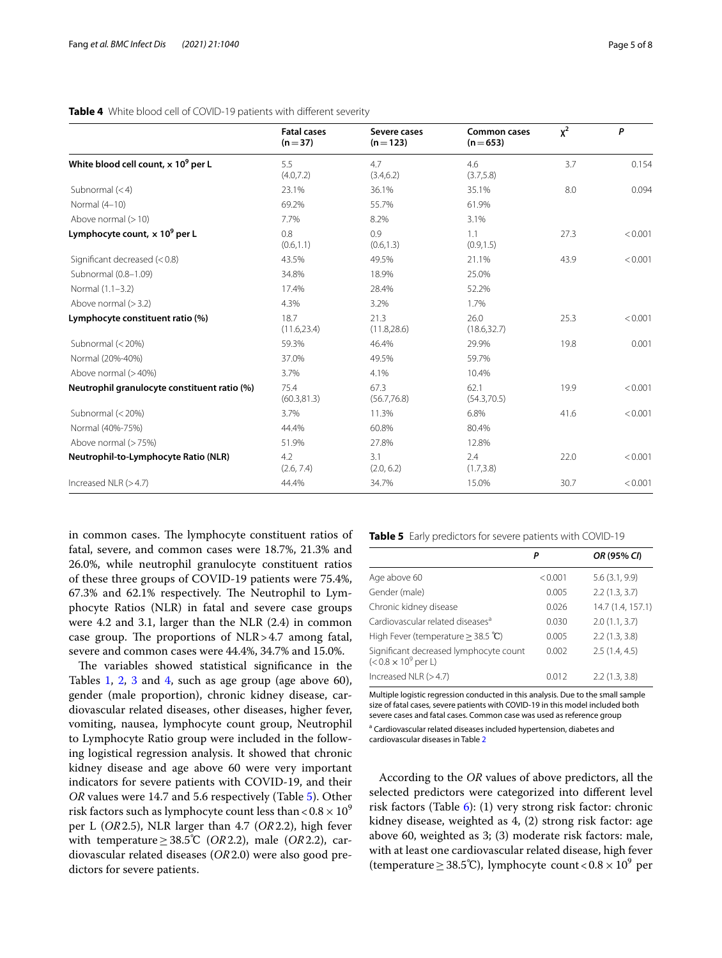## <span id="page-4-0"></span>**Table 4** White blood cell of COVID-19 patients with diferent severity

|                                                        | <b>Fatal cases</b><br>$(n=37)$ | Severe cases<br>$(n=123)$ | <b>Common cases</b><br>$(n=653)$ | $x^2$ | P       |
|--------------------------------------------------------|--------------------------------|---------------------------|----------------------------------|-------|---------|
| White blood cell count, $\times$ 10 <sup>9</sup> per L | 5.5<br>(4.0, 7.2)              | 4.7<br>(3.4, 6.2)         | 4.6<br>(3.7, 5.8)                | 3.7   | 0.154   |
| Subnormal $(< 4)$                                      | 23.1%                          | 36.1%                     | 35.1%                            | 8.0   | 0.094   |
| Normal (4-10)                                          | 69.2%                          | 55.7%                     | 61.9%                            |       |         |
| Above normal $(>10)$                                   | 7.7%                           | 8.2%                      | 3.1%                             |       |         |
| Lymphocyte count, x 10 <sup>9</sup> per L              | 0.8<br>(0.6, 1.1)              | 0.9<br>(0.6, 1.3)         | 1.1<br>(0.9, 1.5)                | 27.3  | < 0.001 |
| Significant decreased (< 0.8)                          | 43.5%                          | 49.5%                     | 21.1%                            | 43.9  | < 0.001 |
| Subnormal (0.8-1.09)                                   | 34.8%                          | 18.9%                     | 25.0%                            |       |         |
| Normal (1.1-3.2)                                       | 17.4%                          | 28.4%                     | 52.2%                            |       |         |
| Above normal $(>3.2)$                                  | 4.3%                           | 3.2%                      | 1.7%                             |       |         |
| Lymphocyte constituent ratio (%)                       | 18.7<br>(11.6, 23.4)           | 21.3<br>(11.8, 28.6)      | 26.0<br>(18.6, 32.7)             | 25.3  | < 0.001 |
| Subnormal (< 20%)                                      | 59.3%                          | 46.4%                     | 29.9%                            | 19.8  | 0.001   |
| Normal (20%-40%)                                       | 37.0%                          | 49.5%                     | 59.7%                            |       |         |
| Above normal (>40%)                                    | 3.7%                           | 4.1%                      | 10.4%                            |       |         |
| Neutrophil granulocyte constituent ratio (%)           | 75.4<br>(60.3, 81.3)           | 67.3<br>(56.7, 76.8)      | 62.1<br>(54.3,70.5)              | 19.9  | < 0.001 |
| Subnormal (< 20%)                                      | 3.7%                           | 11.3%                     | 6.8%                             | 41.6  | < 0.001 |
| Normal (40%-75%)                                       | 44.4%                          | 60.8%                     | 80.4%                            |       |         |
| Above normal (> 75%)                                   | 51.9%                          | 27.8%                     | 12.8%                            |       |         |
| Neutrophil-to-Lymphocyte Ratio (NLR)                   | 4.2<br>(2.6, 7.4)              | 3.1<br>(2.0, 6.2)         | 2.4<br>(1.7, 3.8)                | 22.0  | < 0.001 |
| Increased NLR $(>4.7)$                                 | 44.4%                          | 34.7%                     | 15.0%                            | 30.7  | < 0.001 |

in common cases. The lymphocyte constituent ratios of fatal, severe, and common cases were 18.7%, 21.3% and 26.0%, while neutrophil granulocyte constituent ratios of these three groups of COVID-19 patients were 75.4%,  $67.3\%$  and  $62.1\%$  respectively. The Neutrophil to Lymphocyte Ratios (NLR) in fatal and severe case groups were 4.2 and 3.1, larger than the NLR (2.4) in common case group. The proportions of  $NLR > 4.7$  among fatal, severe and common cases were 44.4%, 34.7% and 15.0%.

The variables showed statistical significance in the Tables [1](#page-2-0), [2](#page-3-0), [3](#page-3-1) and [4,](#page-4-0) such as age group (age above 60), gender (male proportion), chronic kidney disease, cardiovascular related diseases, other diseases, higher fever, vomiting, nausea, lymphocyte count group, Neutrophil to Lymphocyte Ratio group were included in the following logistical regression analysis. It showed that chronic kidney disease and age above 60 were very important indicators for severe patients with COVID-19, and their *OR* values were 14.7 and 5.6 respectively (Table [5\)](#page-4-1). Other risk factors such as lymphocyte count less than  $< 0.8 \times 10^9$ per L (*OR*2.5), NLR larger than 4.7 (*OR*2.2), high fever with temperature≥38.5℃ (*OR*2.2), male (*OR*2.2), cardiovascular related diseases (*OR*2.0) were also good predictors for severe patients.

<span id="page-4-1"></span>**Table 5** Early predictors for severe patients with COVID-19

|                                                                       | Ρ       | OR (95% CI)       |
|-----------------------------------------------------------------------|---------|-------------------|
| Age above 60                                                          | < 0.001 | 5.6(3.1, 9.9)     |
| Gender (male)                                                         | 0.005   | 2.2(1.3, 3.7)     |
| Chronic kidney disease                                                | 0.026   | 14.7 (1.4, 157.1) |
| Cardiovascular related diseases <sup>a</sup>                          | 0.030   | 2.0(1.1, 3.7)     |
| High Fever (temperature $\geq$ 38.5 °C)                               | 0.005   | 2.2(1.3, 3.8)     |
| Significant decreased lymphocyte count<br>$(< 0.8 \times 10^9$ per L) | 0.002   | 2.5(1.4, 4.5)     |
| Increased NLR $(>4.7)$                                                | 0.012   | 2.2(1.3, 3.8)     |

Multiple logistic regression conducted in this analysis. Due to the small sample size of fatal cases, severe patients with COVID-19 in this model included both severe cases and fatal cases. Common case was used as reference group <sup>a</sup> Cardiovascular related diseases included hypertension, diabetes and

cardiovascular diseases in Table [2](#page-3-0)

According to the *OR* values of above predictors, all the selected predictors were categorized into diferent level risk factors (Table  $6$ ): (1) very strong risk factor: chronic kidney disease, weighted as 4, (2) strong risk factor: age above 60, weighted as 3; (3) moderate risk factors: male, with at least one cardiovascular related disease, high fever (temperature  $\geq$  38.5°C), lymphocyte count <  $0.8 \times 10^9$  per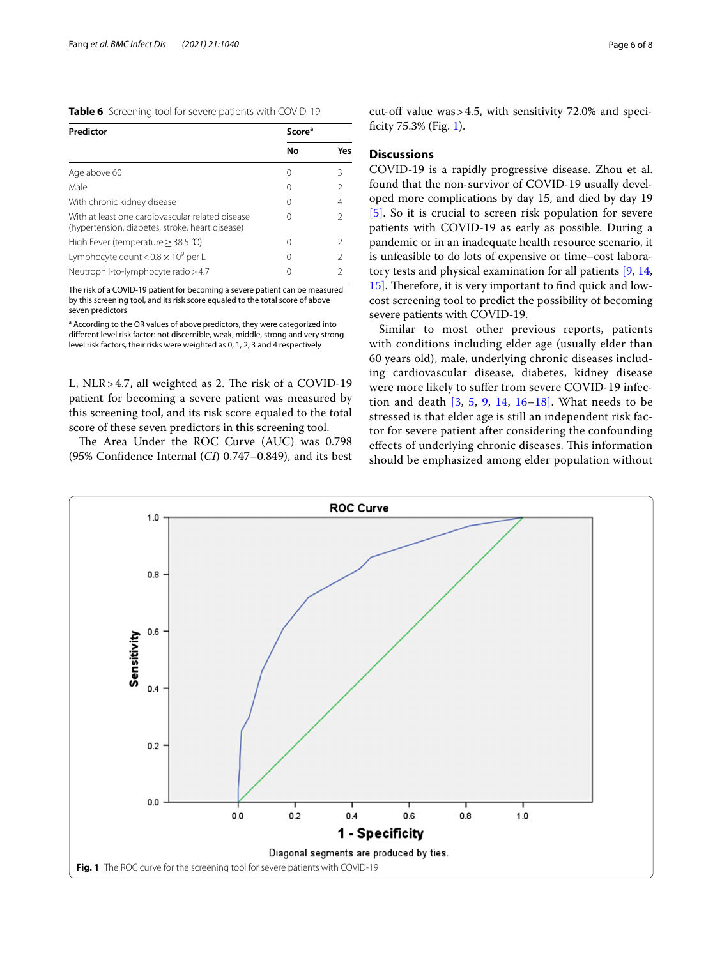<span id="page-5-0"></span>

| Table 6 Screening tool for severe patients with COVID-19 |  |
|----------------------------------------------------------|--|
|----------------------------------------------------------|--|

| Predictor                                                                                           | Score <sup>a</sup> |                |
|-----------------------------------------------------------------------------------------------------|--------------------|----------------|
|                                                                                                     | No                 | Yes            |
| Age above 60                                                                                        | Ω                  | 3              |
| Male                                                                                                | $\left( \right)$   | 2              |
| With chronic kidney disease                                                                         | $\left( \right)$   | 4              |
| With at least one cardiovascular related disease<br>(hypertension, diabetes, stroke, heart disease) |                    | 2              |
| High Fever (temperature $\geq$ 38.5 °C)                                                             | $\left( \right)$   | 2              |
| Lymphocyte count < $0.8 \times 10^9$ per L                                                          | $\left( \right)$   | $\mathfrak{D}$ |
| Neutrophil-to-lymphocyte ratio > 4.7                                                                |                    | $\mathcal{P}$  |

The risk of a COVID-19 patient for becoming a severe patient can be measured by this screening tool, and its risk score equaled to the total score of above seven predictors

<sup>a</sup> According to the OR values of above predictors, they were categorized into diferent level risk factor: not discernible, weak, middle, strong and very strong level risk factors, their risks were weighted as 0, 1, 2, 3 and 4 respectively

L, NLR>4.7, all weighted as 2. The risk of a COVID-19 patient for becoming a severe patient was measured by this screening tool, and its risk score equaled to the total score of these seven predictors in this screening tool.

The Area Under the ROC Curve (AUC) was 0.798 (95% Confdence Internal (*CI*) 0.747–0.849), and its best cut-off value was  $>4.5$ , with sensitivity 72.0% and speci-ficity 75.3% (Fig. [1\)](#page-5-1).

## **Discussions**

COVID-19 is a rapidly progressive disease. Zhou et al. found that the non-survivor of COVID-19 usually developed more complications by day 15, and died by day 19 [\[5\]](#page-7-3). So it is crucial to screen risk population for severe patients with COVID-19 as early as possible. During a pandemic or in an inadequate health resource scenario, it is unfeasible to do lots of expensive or time–cost laboratory tests and physical examination for all patients [\[9,](#page-7-9) [14](#page-7-10), [15\].](#page-7-11) Therefore, it is very important to find quick and lowcost screening tool to predict the possibility of becoming severe patients with COVID-19.

Similar to most other previous reports, patients with conditions including elder age (usually elder than 60 years old), male, underlying chronic diseases including cardiovascular disease, diabetes, kidney disease were more likely to sufer from severe COVID-19 infection and death [\[3](#page-7-1), [5,](#page-7-3) [9,](#page-7-9) [14](#page-7-10)[, 16](#page-7-1)[–18\].](#page-7-12) What needs to be stressed is that elder age is still an independent risk factor for severe patient after considering the confounding effects of underlying chronic diseases. This information should be emphasized among elder population without

<span id="page-5-1"></span>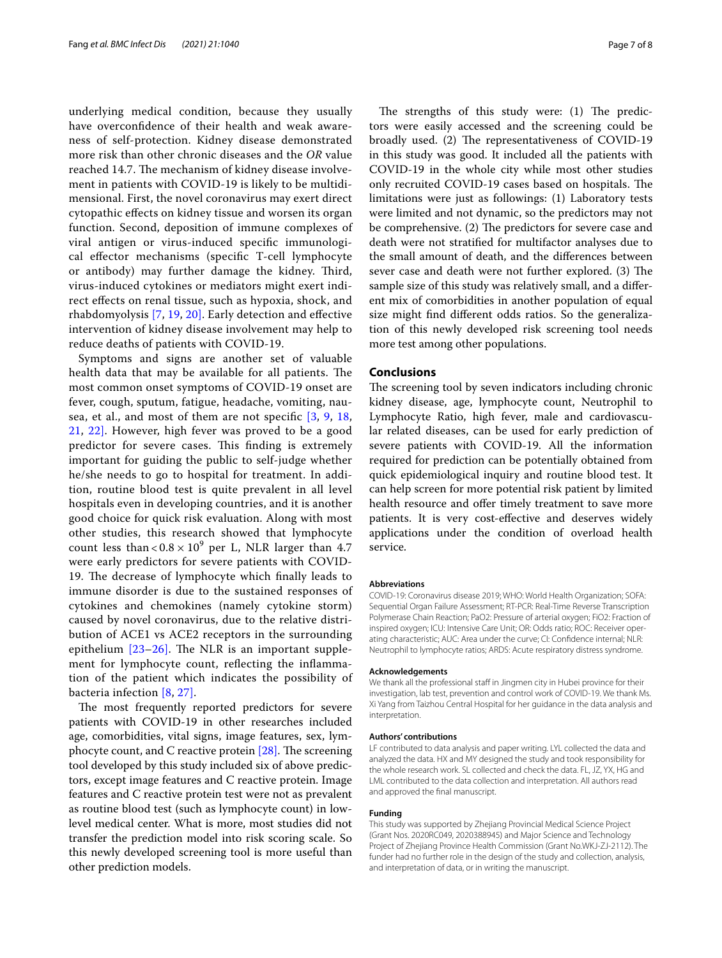underlying medical condition, because they usually have overconfdence of their health and weak awareness of self-protection. Kidney disease demonstrated more risk than other chronic diseases and the *OR* value reached 14.7. The mechanism of kidney disease involvement in patients with COVID-19 is likely to be multidimensional. First, the novel coronavirus may exert direct cytopathic efects on kidney tissue and worsen its organ function. Second, deposition of immune complexes of viral antigen or virus-induced specifc immunological efector mechanisms (specifc T-cell lymphocyte or antibody) may further damage the kidney. Third, virus-induced cytokines or mediators might exert indirect efects on renal tissue, such as hypoxia, shock, and rhabdomyolysis [\[7,](#page-7-4) [19,](#page-7-13) [20\].](#page-7-14) Early detection and efective intervention of kidney disease involvement may help to reduce deaths of patients with COVID-19.

Symptoms and signs are another set of valuable health data that may be available for all patients. The most common onset symptoms of COVID-19 onset are fever, cough, sputum, fatigue, headache, vomiting, nausea, et al., and most of them are not specifc [\[3](#page-7-1), [9](#page-7-9), [18](#page-7-12), [21,](#page-7-15) [22\]](#page-7-16). However, high fever was proved to be a good predictor for severe cases. This finding is extremely important for guiding the public to self-judge whether he/she needs to go to hospital for treatment. In addition, routine blood test is quite prevalent in all level hospitals even in developing countries, and it is another good choice for quick risk evaluation. Along with most other studies, this research showed that lymphocyte count less than  $< 0.8 \times 10^9$  per L, NLR larger than 4.7 were early predictors for severe patients with COVID-19. The decrease of lymphocyte which finally leads to immune disorder is due to the sustained responses of cytokines and chemokines (namely cytokine storm) caused by novel coronavirus, due to the relative distribution of ACE1 vs ACE2 receptors in the surrounding epithelium  $[23-26]$  $[23-26]$ . The NLR is an important supplement for lymphocyte count, refecting the infammation of the patient which indicates the possibility of bacteria infection [\[8,](#page-7-5) [27\].](#page-7-19)

The most frequently reported predictors for severe patients with COVID-19 in other researches included age, comorbidities, vital signs, image features, sex, lymphocyte count, and C reactive protein  $[28]$ . The screening tool developed by this study included six of above predictors, except image features and C reactive protein. Image features and C reactive protein test were not as prevalent as routine blood test (such as lymphocyte count) in lowlevel medical center. What is more, most studies did not transfer the prediction model into risk scoring scale. So this newly developed screening tool is more useful than other prediction models.

The strengths of this study were:  $(1)$  The predictors were easily accessed and the screening could be broadly used. (2) The representativeness of COVID-19 in this study was good. It included all the patients with COVID-19 in the whole city while most other studies only recruited COVID-19 cases based on hospitals. The limitations were just as followings: (1) Laboratory tests were limited and not dynamic, so the predictors may not be comprehensive. (2) The predictors for severe case and death were not stratifed for multifactor analyses due to the small amount of death, and the diferences between sever case and death were not further explored. (3) The sample size of this study was relatively small, and a diferent mix of comorbidities in another population of equal size might fnd diferent odds ratios. So the generalization of this newly developed risk screening tool needs more test among other populations.

## **Conclusions**

The screening tool by seven indicators including chronic kidney disease, age, lymphocyte count, Neutrophil to Lymphocyte Ratio, high fever, male and cardiovascular related diseases, can be used for early prediction of severe patients with COVID-19. All the information required for prediction can be potentially obtained from quick epidemiological inquiry and routine blood test. It can help screen for more potential risk patient by limited health resource and offer timely treatment to save more patients. It is very cost-efective and deserves widely applications under the condition of overload health service.

#### **Abbreviations**

COVID-19: Coronavirus disease 2019; WHO: World Health Organization; SOFA: Sequential Organ Failure Assessment; RT-PCR: Real-Time Reverse Transcription Polymerase Chain Reaction; PaO2: Pressure of arterial oxygen; FiO2: Fraction of inspired oxygen; ICU: Intensive Care Unit; OR: Odds ratio; ROC: Receiver operating characteristic; AUC: Area under the curve; CI: Confdence internal; NLR: Neutrophil to lymphocyte ratios; ARDS: Acute respiratory distress syndrome.

#### **Acknowledgements**

We thank all the professional staff in Jingmen city in Hubei province for their investigation, lab test, prevention and control work of COVID-19. We thank Ms. Xi Yang from Taizhou Central Hospital for her guidance in the data analysis and interpretation.

#### **Authors' contributions**

LF contributed to data analysis and paper writing. LYL collected the data and analyzed the data. HX and MY designed the study and took responsibility for the whole research work. SL collected and check the data. FL, JZ, YX, HG and LML contributed to the data collection and interpretation. All authors read and approved the fnal manuscript.

#### **Funding**

This study was supported by Zhejiang Provincial Medical Science Project (Grant Nos. 2020RC049, 2020388945) and Major Science and Technology Project of Zhejiang Province Health Commission (Grant No.WKJ-ZJ-2112). The funder had no further role in the design of the study and collection, analysis, and interpretation of data, or in writing the manuscript.